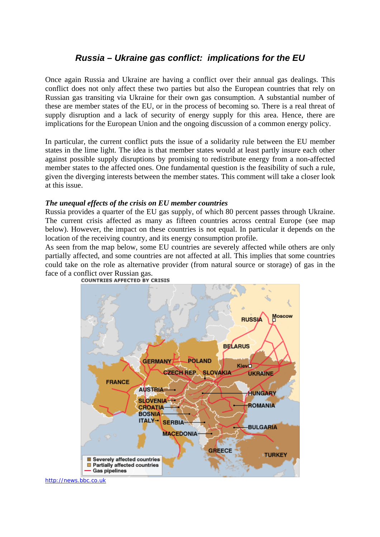## *Russia – Ukraine gas conflict: implications for the EU*

Once again Russia and Ukraine are having a conflict over their annual gas dealings. This conflict does not only affect these two parties but also the European countries that rely on Russian gas transiting via Ukraine for their own gas consumption. A substantial number of these are member states of the EU, or in the process of becoming so. There is a real threat of supply disruption and a lack of security of energy supply for this area. Hence, there are implications for the European Union and the ongoing discussion of a common energy policy.

In particular, the current conflict puts the issue of a solidarity rule between the EU member states in the lime light. The idea is that member states would at least partly insure each other against possible supply disruptions by promising to redistribute energy from a non-affected member states to the affected ones. One fundamental question is the feasibility of such a rule, given the diverging interests between the member states. This comment will take a closer look at this issue.

## *The unequal effects of the crisis on EU member countries*

Russia provides a quarter of the EU gas supply, of which 80 percent passes through Ukraine. The current crisis affected as many as fifteen countries across central Europe (see map below). However, the impact on these countries is not equal. In particular it depends on the location of the receiving country, and its energy consumption profile.

As seen from the map below, some EU countries are severely affected while others are only partially affected, and some countries are not affected at all. This implies that some countries could take on the role as alternative provider (from natural source or storage) of gas in the face of a conflict over Russian gas.<br> **COUNTRIES AFFECTED BY CRISIS** 



http://news.bbc.co.uk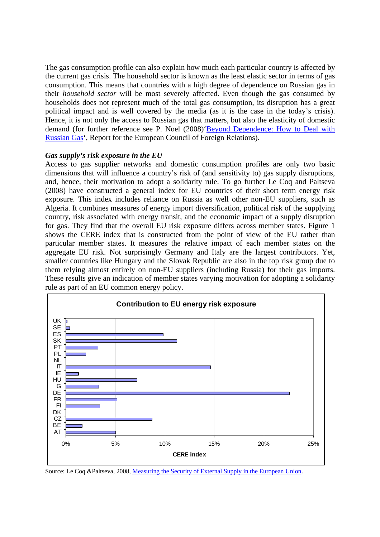The gas consumption profile can also explain how much each particular country is affected by the current gas crisis. The household sector is known as the least elastic sector in terms of gas consumption. This means that countries with a high degree of dependence on Russian gas in their *household sector* will be most severely affected. Even though the gas consumed by households does not represent much of the total gas consumption, its disruption has a great political impact and is well covered by the media (as it is the case in the today's crisis). Hence, it is not only the access to Russian gas that matters, but also the elasticity of domestic demand (for further reference see P. Noel (2008)'Beyond Dependence: How to Deal with Russian Gas', Report for the European Council of Foreign Relations).

## *Gas supply's risk exposure in the EU*

Access to gas supplier networks and domestic consumption profiles are only two basic dimensions that will influence a country's risk of (and sensitivity to) gas supply disruptions, and, hence, their motivation to adopt a solidarity rule. To go further Le Coq and Paltseva (2008) have constructed a general index for EU countries of their short term energy risk exposure. This index includes reliance on Russia as well other non-EU suppliers, such as Algeria. It combines measures of energy import diversification, political risk of the supplying country, risk associated with energy transit, and the economic impact of a supply disruption for gas. They find that the overall EU risk exposure differs across member states. Figure 1 shows the CERE index that is constructed from the point of view of the EU rather than particular member states. It measures the relative impact of each member states on the aggregate EU risk. Not surprisingly Germany and Italy are the largest contributors. Yet, smaller countries like Hungary and the Slovak Republic are also in the top risk group due to them relying almost entirely on non-EU suppliers (including Russia) for their gas imports. These results give an indication of member states varying motivation for adopting a solidarity rule as part of an EU common energy policy.



Source: Le Coq &Paltseva, 2008, Measuring the Security of External Supply in the European Union.